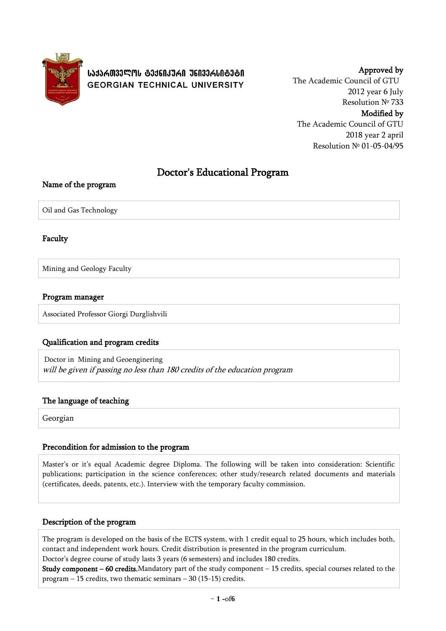

# **ิ** სᲐᲥᲐᲠᲗᲕᲔᲚᲝᲡ ᲢᲔᲥᲜᲘᲙᲣᲠᲘ ᲣᲜᲘᲕᲔᲠᲡᲘᲢᲔᲢᲘ **GEORGIAN TECHNICAL UNIVERSITY**

Approved by The Academic Council of GTU 2012 year 6 July Resolution № 733 Modified by The Academic Council of GTU

2018 year 2 april Resolution № 01-05-04/95

# Doctor's Educational Program

### Name of the program

Oil and Gas Technology

### Faculty

Mining and Geology Faculty

#### Program manager

Associated Professor Giorgi Durglishvili

#### Qualification and program credits

Doctor in Mining and Geoenginering will be given if passing no less than 180 credits of the education program

### The language of teaching

Georgian

#### Precondition for admission to the program

Master's or it's equal Academic degree Diploma. The following will be taken into consideration: Scientific publications; participation in the science conferences; other study/research related documents and materials (certificates, deeds, patents, etc.). Interview with the temporary faculty commission.

#### Description of the program

The program is developed on the basis of the ECTS system, with 1 credit equal to 25 hours, which includes both, contact and independent work hours. Credit distribution is presented in the program curriculum.

Doctor's degree course of study lasts 3 years (6 semesters) and includes 180 credits.

Study component – 60 credits.Mandatory part of the study component – 15 credits, special courses related to the program – 15 credits, two thematic seminars – 30 (15-15) credits.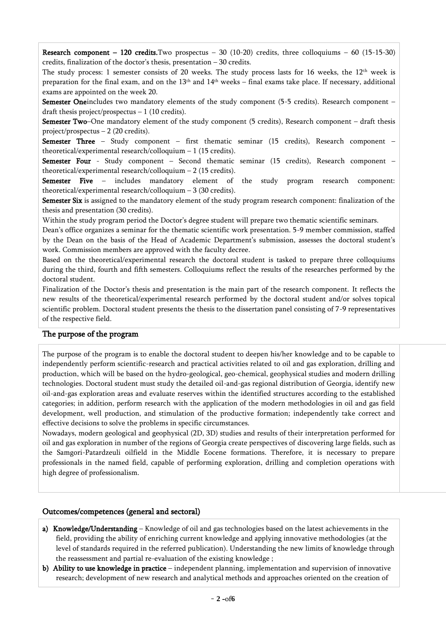**Research component – 120 credits.**Two prospectus – 30 (10-20) credits, three colloquiums – 60 (15-15-30) credits, finalization of the doctor's thesis, presentation – 30 credits.

The study process: 1 semester consists of 20 weeks. The study process lasts for 16 weeks, the  $12<sup>th</sup>$  week is preparation for the final exam, and on the  $13<sup>th</sup>$  and  $14<sup>th</sup>$  weeks – final exams take place. If necessary, additional exams are appointed on the week 20.

Semester Oneincludes two mandatory elements of the study component (5-5 credits). Research component – draft thesis project/prospectus  $-1$  (10 credits).

Semester Two–One mandatory element of the study component (5 credits), Research component – draft thesis project/prospectus – 2 (20 credits).

Semester Three – Study component – first thematic seminar (15 credits), Research component – theoretical/experimental research/colloquium – 1 (15 credits).

Semester Four - Study component – Second thematic seminar (15 credits), Research component – theoretical/experimental research/colloquium – 2 (15 credits).

Semester Five – includes mandatory element of the study program research component: theoretical/experimental research/colloquium – 3 (30 credits).

Semester Six is assigned to the mandatory element of the study program research component: finalization of the thesis and presentation (30 credits).

Within the study program period the Doctor's degree student will prepare two thematic scientific seminars.

Dean's office organizes a seminar for the thematic scientific work presentation. 5-9 member commission, staffed by the Dean on the basis of the Head of Academic Department's submission, assesses the doctoral student's work. Commission members are approved with the faculty decree.

Based on the theoretical/experimental research the doctoral student is tasked to prepare three colloquiums during the third, fourth and fifth semesters. Colloquiums reflect the results of the researches performed by the doctoral student.

Finalization of the Doctor's thesis and presentation is the main part of the research component. It reflects the new results of the theoretical/experimental research performed by the doctoral student and/or solves topical scientific problem. Doctoral student presents the thesis to the dissertation panel consisting of 7-9 representatives of the respective field.

#### The purpose of the program

The purpose of the program is to enable the doctoral student to deepen his/her knowledge and to be capable to independently perform scientific-research and practical activities related to oil and gas exploration, drilling and production, which will be based on the hydro-geological, geo-chemical, geophysical studies and modern drilling technologies. Doctoral student must study the detailed oil-and-gas regional distribution of Georgia, identify new oil-and-gas exploration areas and evaluate reserves within the identified structures according to the established categories; in addition, perform research with the application of the modern methodologies in oil and gas field development, well production, and stimulation of the productive formation; independently take correct and effective decisions to solve the problems in specific circumstances.

Nowadays, modern geological and geophysical (2D, 3D) studies and results of their interpretation performed for oil and gas exploration in number of the regions of Georgia create perspectives of discovering large fields, such as the Samgori-Patardzeuli oilfield in the Middle Eocene formations. Therefore, it is necessary to prepare professionals in the named field, capable of performing exploration, drilling and completion operations with high degree of professionalism.

#### Outcomes/competences (general and sectoral)

- a) Knowledge/Understanding Knowledge of oil and gas technologies based on the latest achievements in the field, providing the ability of enriching current knowledge and applying innovative methodologies (at the level of standards required in the referred publication). Understanding the new limits of knowledge through the reassessment and partial re-evaluation of the existing knowledge ;
- b) Ability to use knowledge in practice independent planning, implementation and supervision of innovative research; development of new research and analytical methods and approaches oriented on the creation of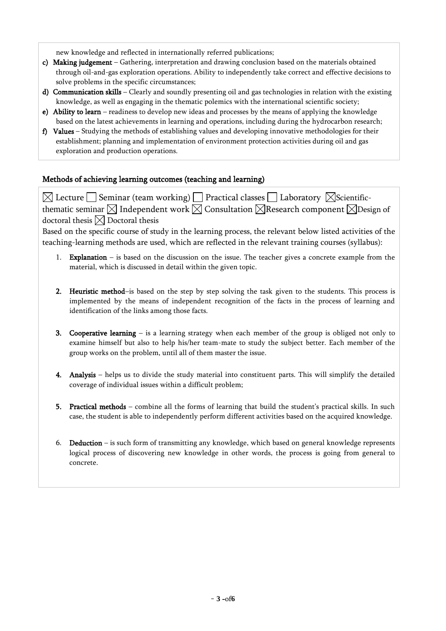new knowledge and reflected in internationally referred publications;

- c) Making judgement Gathering, interpretation and drawing conclusion based on the materials obtained through oil-and-gas exploration operations. Ability to independently take correct and effective decisions to solve problems in the specific circumstances;
- d) Communication skills Clearly and soundly presenting oil and gas technologies in relation with the existing knowledge, as well as engaging in the thematic polemics with the international scientific society;
- e) Ability to learn readiness to develop new ideas and processes by the means of applying the knowledge based on the latest achievements in learning and operations, including during the hydrocarbon research;
- f) Values Studying the methods of establishing values and developing innovative methodologies for their establishment; planning and implementation of environment protection activities during oil and gas exploration and production operations.

#### Methods of achieving learning outcomes (teaching and learning)

 $\boxtimes$  Lecture  $\Box$  Seminar (team working)  $\Box$  Practical classes  $\Box$  Laboratory  $\boxtimes$ Scientificthematic seminar  $\boxtimes$  Independent work  $\boxtimes$  Consultation  $\boxtimes$  Research component  $\boxtimes$  Design of doctoral thesis  $\boxtimes$  Doctoral thesis

Based on the specific course of study in the learning process, the relevant below listed activities of the teaching-learning methods are used, which are reflected in the relevant training courses (syllabus):

- 1. Explanation is based on the discussion on the issue. The teacher gives a concrete example from the material, which is discussed in detail within the given topic.
- 2. Heuristic method–is based on the step by step solving the task given to the students. This process is implemented by the means of independent recognition of the facts in the process of learning and identification of the links among those facts.
- 3. Cooperative learning is a learning strategy when each member of the group is obliged not only to examine himself but also to help his/her team-mate to study the subject better. Each member of the group works on the problem, until all of them master the issue.
- 4. Analysis helps us to divide the study material into constituent parts. This will simplify the detailed coverage of individual issues within a difficult problem;
- 5. Practical methods combine all the forms of learning that build the student's practical skills. In such case, the student is able to independently perform different activities based on the acquired knowledge.
- 6. Deduction is such form of transmitting any knowledge, which based on general knowledge represents logical process of discovering new knowledge in other words, the process is going from general to concrete.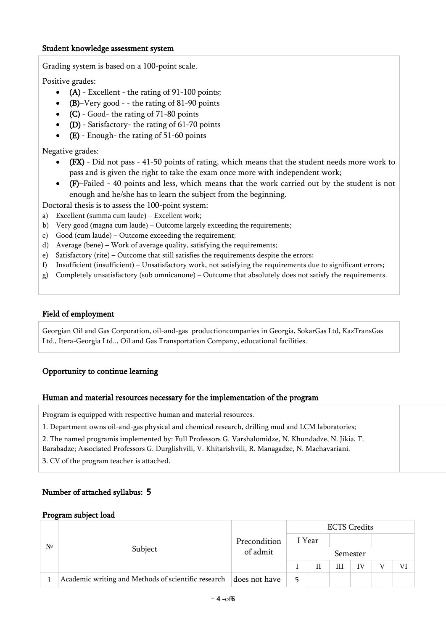#### Student knowledge assessment system

Grading system is based on a 100-point scale.

Positive grades:

- (A) Excellent the rating of 91-100 points;
- (B)–Very good - the rating of 81-90 points
- (C) Good- the rating of 71-80 points
- (D) Satisfactory- the rating of 61-70 points
- $\bullet$  (E) Enough- the rating of 51-60 points

Negative grades:

- (FX) Did not pass 41-50 points of rating, which means that the student needs more work to pass and is given the right to take the exam once more with independent work;
- (F)–Failed 40 points and less, which means that the work carried out by the student is not enough and he/she has to learn the subject from the beginning.

Doctoral thesis is to assess the 100-point system:

- a) Excellent (summa cum laude) Excellent work;
- b) Very good (magna cum laude) Outcome largely exceeding the requirements;
- c) Good (cum laude) Outcome exceeding the requirement;
- d) Average (bene) Work of average quality, satisfying the requirements;
- e) Satisfactory (rite) Outcome that still satisfies the requirements despite the errors;
- f) Insufficient (insufficient) Unsatisfactory work, not satisfying the requirements due to significant errors;
- g) Completely unsatisfactory (sub omnicanone) Outcome that absolutely does not satisfy the requirements.

#### Field of employment

Georgian Oil and Gas Corporation, oil-and-gas productioncompanies in Georgia, SokarGas Ltd, KazTransGas Ltd., Itera-Georgia Ltd.., Oil and Gas Transportation Company, educational facilities.

### Opportunity to continue learning

#### Human and material resources necessary for the implementation of the program

Program is equipped with respective human and material resources.

1. Department owns oil-and-gas physical and chemical research, drilling mud and LCM laboratories;

2. The named programis implemented by: Full Professors G. Varshalomidze, N. Khundadze, N. Jikia, T.

Barabadze; Associated Professors G. Durglishvili, V. Khitarishvili, R. Managadze, N. Machavariani.

3. CV of the program teacher is attached.

### Number of attached syllabus: 5

#### Program subject load

| Nº | Subject                                                           |              | <b>ECTS Credits</b> |        |   |    |  |  |  |
|----|-------------------------------------------------------------------|--------------|---------------------|--------|---|----|--|--|--|
|    |                                                                   | Precondition |                     | I Year |   |    |  |  |  |
|    |                                                                   | of admit     | Semester            |        |   |    |  |  |  |
|    |                                                                   |              |                     |        | Ш | IV |  |  |  |
|    | Academic writing and Methods of scientific research does not have |              | 5                   |        |   |    |  |  |  |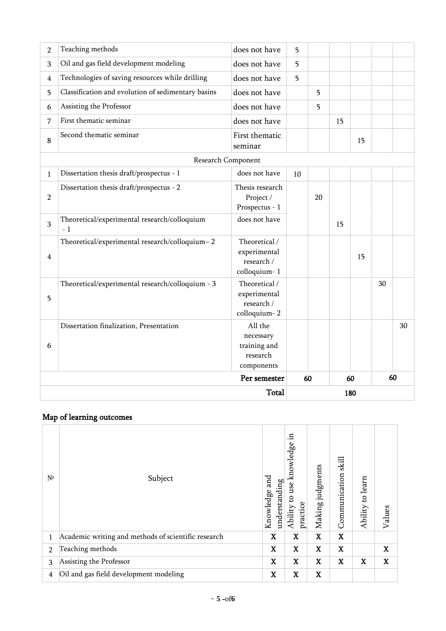|                | Total                                                |                                                                |    |                |    | 180 |    |    |
|----------------|------------------------------------------------------|----------------------------------------------------------------|----|----------------|----|-----|----|----|
|                | Per semester                                         |                                                                |    | 60<br>60<br>60 |    |     |    |    |
| 6              | Dissertation finalization, Presentation              | All the<br>necessary<br>training and<br>research<br>components |    |                |    |     |    | 30 |
| 5              | Theoretical/experimental research/colloquium - 3     | Theoretical /<br>experimental<br>research /<br>colloquium-2    |    |                |    |     | 30 |    |
| $\overline{4}$ | Theoretical/experimental research/colloquium-2       | Theoretical /<br>experimental<br>research /<br>colloquium-1    |    |                |    | 15  |    |    |
| 3              | Theoretical/experimental research/colloquium<br>$-1$ | does not have                                                  |    |                | 15 |     |    |    |
| $\overline{2}$ | Dissertation thesis draft/prospectus - 2             | Thesis research<br>Project /<br>Prospectus - 1                 |    | 20             |    |     |    |    |
| $\mathbf{1}$   | Dissertation thesis draft/prospectus - 1             | does not have                                                  | 10 |                |    |     |    |    |
|                | Research Component                                   |                                                                |    |                |    |     |    |    |
| 8              | Second thematic seminar                              | First thematic<br>seminar                                      |    |                |    | 15  |    |    |
| 7              | First thematic seminar                               | does not have                                                  |    |                | 15 |     |    |    |
| 6              | Assisting the Professor                              | does not have                                                  |    | 5              |    |     |    |    |
| 5              | Classification and evolution of sedimentary basins   | does not have                                                  |    | 5              |    |     |    |    |
| 4              | Technologies of saving resources while drilling      | does not have                                                  | 5  |                |    |     |    |    |
| 3              | Oil and gas field development modeling               | does not have                                                  | 5  |                |    |     |    |    |
| $\overline{2}$ | Teaching methods                                     | does not have                                                  | 5  |                |    |     |    |    |

### Map of learning outcomes

| N <sup>o</sup> | Subject                                             |             | 드.<br>knowledge<br>understanding<br>to use<br>practice<br>Ability | Making judgments | skill<br>Communication | learn<br>$\overline{c}$<br>Ability | Values      |
|----------------|-----------------------------------------------------|-------------|-------------------------------------------------------------------|------------------|------------------------|------------------------------------|-------------|
|                | Academic writing and methods of scientific research | $\mathbf X$ | X                                                                 | $\mathbf x$      | $\mathbf x$            |                                    |             |
| $\overline{2}$ | Teaching methods                                    | $\mathbf x$ | X                                                                 | X                | $\mathbf x$            |                                    | X           |
| 3              | Assisting the Professor                             | $\mathbf X$ | X                                                                 | $\mathbf X$      | $\mathbf X$            | X                                  | $\mathbf X$ |
| 4              | Oil and gas field development modeling              | $\mathbf X$ | $\mathbf X$                                                       | $\mathbf x$      |                        |                                    |             |